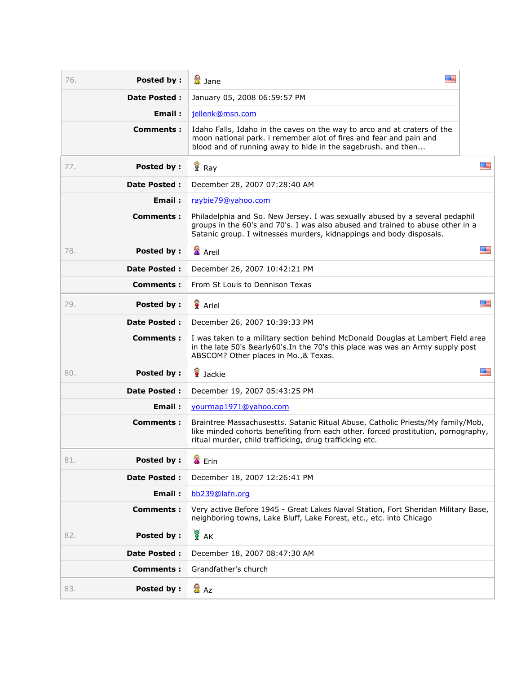| <b>Posted by:</b><br>76. | 医目<br>魯<br>魯 Jane                                                                                                                                                                                                                     |    |
|--------------------------|---------------------------------------------------------------------------------------------------------------------------------------------------------------------------------------------------------------------------------------|----|
| <b>Date Posted:</b>      | January 05, 2008 06:59:57 PM                                                                                                                                                                                                          |    |
| Email:                   | jellenk@msn.com                                                                                                                                                                                                                       |    |
| <b>Comments:</b>         | Idaho Falls, Idaho in the caves on the way to arco and at craters of the<br>moon national park. i remember alot of fires and fear and pain and<br>blood and of running away to hide in the sagebrush. and then                        |    |
| <b>Posted by:</b><br>77. | Ray                                                                                                                                                                                                                                   | 四日 |
| <b>Date Posted:</b>      | December 28, 2007 07:28:40 AM                                                                                                                                                                                                         |    |
| Email:                   | raybie79@yahoo.com                                                                                                                                                                                                                    |    |
| Comments:                | Philadelphia and So. New Jersey. I was sexually abused by a several pedaphil<br>groups in the 60's and 70's. I was also abused and trained to abuse other in a<br>Satanic group. I witnesses murders, kidnappings and body disposals. |    |
| 78.<br>Posted by:        | <b>叠</b> Areil                                                                                                                                                                                                                        | 幽言 |
| <b>Date Posted:</b>      | December 26, 2007 10:42:21 PM                                                                                                                                                                                                         |    |
| Comments:                | From St Louis to Dennison Texas                                                                                                                                                                                                       |    |
| <b>Posted by:</b><br>79. | <b>Ariel</b>                                                                                                                                                                                                                          | 四日 |
| <b>Date Posted:</b>      | December 26, 2007 10:39:33 PM                                                                                                                                                                                                         |    |
| <b>Comments:</b>         | I was taken to a military section behind McDonald Douglas at Lambert Field area<br>in the late 50's &early60's. In the 70's this place was was an Army supply post<br>ABSCOM? Other places in Mo., & Texas.                           |    |
| 80.<br>Posted by:        | de Jackie                                                                                                                                                                                                                             | 圖書 |
| <b>Date Posted:</b>      | December 19, 2007 05:43:25 PM                                                                                                                                                                                                         |    |
| Email:                   | yourmap1971@yahoo.com                                                                                                                                                                                                                 |    |
| Comments:                | Braintree Massachusestts. Satanic Ritual Abuse, Catholic Priests/My family/Mob,<br>like minded cohorts benefiting from each other. forced prostitution, pornography,<br>ritual murder, child trafficking, drug trafficking etc.       |    |
| <b>Posted by:</b><br>81. | <sup>全</sup> Erin                                                                                                                                                                                                                     |    |
| <b>Date Posted:</b>      | December 18, 2007 12:26:41 PM                                                                                                                                                                                                         |    |
| Email:                   | bb239@lafn.org                                                                                                                                                                                                                        |    |
| Comments:                | Very active Before 1945 - Great Lakes Naval Station, Fort Sheridan Military Base,<br>neighboring towns, Lake Bluff, Lake Forest, etc., etc. into Chicago                                                                              |    |
| <b>Posted by:</b><br>82. | A K                                                                                                                                                                                                                                   |    |
| <b>Date Posted:</b>      | December 18, 2007 08:47:30 AM                                                                                                                                                                                                         |    |
| Comments:                | Grandfather's church                                                                                                                                                                                                                  |    |
| <b>Posted by:</b><br>83. | 魯 Az                                                                                                                                                                                                                                  |    |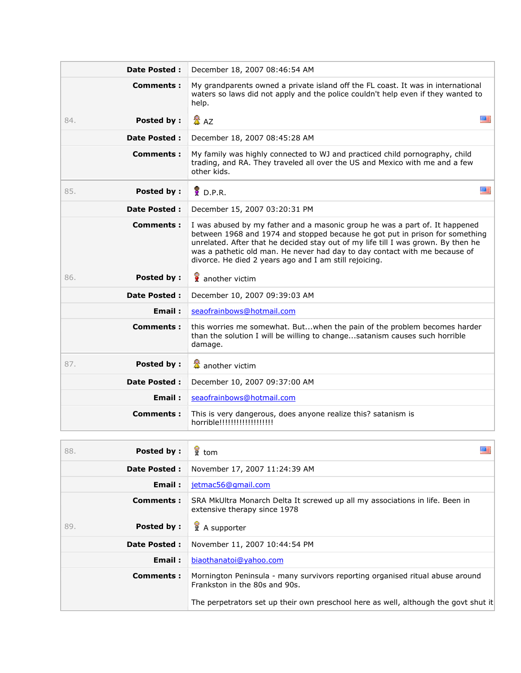| <b>Date Posted:</b>      | December 18, 2007 08:46:54 AM                                                                                                                                                                                                                                                                                                                                                            |  |
|--------------------------|------------------------------------------------------------------------------------------------------------------------------------------------------------------------------------------------------------------------------------------------------------------------------------------------------------------------------------------------------------------------------------------|--|
| Comments:                | My grandparents owned a private island off the FL coast. It was in international<br>waters so laws did not apply and the police couldn't help even if they wanted to<br>help.                                                                                                                                                                                                            |  |
| <b>Posted by:</b><br>84. | <b>叠 A7</b><br>医三                                                                                                                                                                                                                                                                                                                                                                        |  |
| <b>Date Posted:</b>      | December 18, 2007 08:45:28 AM                                                                                                                                                                                                                                                                                                                                                            |  |
| <b>Comments:</b>         | My family was highly connected to WJ and practiced child pornography, child<br>trading, and RA. They traveled all over the US and Mexico with me and a few<br>other kids.                                                                                                                                                                                                                |  |
| <b>Posted by:</b><br>85. | $\degree$ D.P.R.<br><b>WE</b>                                                                                                                                                                                                                                                                                                                                                            |  |
| <b>Date Posted:</b>      | December 15, 2007 03:20:31 PM                                                                                                                                                                                                                                                                                                                                                            |  |
| Comments:                | I was abused by my father and a masonic group he was a part of. It happened<br>between 1968 and 1974 and stopped because he got put in prison for something<br>unrelated. After that he decided stay out of my life till I was grown. By then he<br>was a pathetic old man. He never had day to day contact with me because of<br>divorce. He died 2 years ago and I am still rejoicing. |  |
| <b>Posted by:</b><br>86. | another victim                                                                                                                                                                                                                                                                                                                                                                           |  |
| <b>Date Posted:</b>      | December 10, 2007 09:39:03 AM                                                                                                                                                                                                                                                                                                                                                            |  |
| Email:                   | seaofrainbows@hotmail.com                                                                                                                                                                                                                                                                                                                                                                |  |
| <b>Comments:</b>         | this worries me somewhat. Butwhen the pain of the problem becomes harder<br>than the solution I will be willing to changesatanism causes such horrible<br>damage.                                                                                                                                                                                                                        |  |
| <b>Posted by:</b><br>87. | another victim                                                                                                                                                                                                                                                                                                                                                                           |  |
| <b>Date Posted:</b>      | December 10, 2007 09:37:00 AM                                                                                                                                                                                                                                                                                                                                                            |  |
| Email:                   | seaofrainbows@hotmail.com                                                                                                                                                                                                                                                                                                                                                                |  |
| Comments:                | This is very dangerous, does anyone realize this? satanism is<br>horrible!!!!!!!!!!!!!!!!!!!!                                                                                                                                                                                                                                                                                            |  |

| <b>Posted by:</b><br>88. | $\frac{1}{2}$ tom                                                                                              |
|--------------------------|----------------------------------------------------------------------------------------------------------------|
| <b>Date Posted:</b>      | November 17, 2007 11:24:39 AM                                                                                  |
| Email:                   | jetmac56@gmail.com                                                                                             |
| Comments:                | SRA MkUltra Monarch Delta It screwed up all my associations in life. Been in<br>extensive therapy since 1978   |
| Posted by:<br>89.        | A supporter                                                                                                    |
| <b>Date Posted:</b>      | November 11, 2007 10:44:54 PM                                                                                  |
| Email:                   | biaothanatoi@yahoo.com                                                                                         |
| Comments:                | Mornington Peninsula - many survivors reporting organised ritual abuse around<br>Frankston in the 80s and 90s. |
|                          | The perpetrators set up their own preschool here as well, although the govt shut it                            |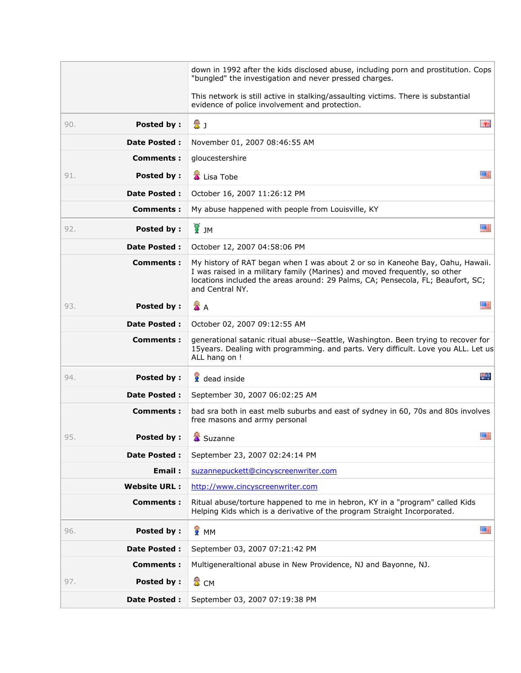|                          | down in 1992 after the kids disclosed abuse, including porn and prostitution. Cops<br>"bungled" the investigation and never pressed charges.                                                                                                                       |
|--------------------------|--------------------------------------------------------------------------------------------------------------------------------------------------------------------------------------------------------------------------------------------------------------------|
|                          | This network is still active in stalking/assaulting victims. There is substantial<br>evidence of police involvement and protection.                                                                                                                                |
| <b>Posted by:</b><br>90. | 盘」<br>驚魔                                                                                                                                                                                                                                                           |
| <b>Date Posted:</b>      | November 01, 2007 08:46:55 AM                                                                                                                                                                                                                                      |
| <b>Comments:</b>         | gloucestershire                                                                                                                                                                                                                                                    |
| Posted by:<br>91.        | 严<br>Lisa Tobe                                                                                                                                                                                                                                                     |
| <b>Date Posted:</b>      | October 16, 2007 11:26:12 PM                                                                                                                                                                                                                                       |
| Comments:                | My abuse happened with people from Louisville, KY                                                                                                                                                                                                                  |
| Posted by:<br>92.        | ្រី<br>រ<br>四三                                                                                                                                                                                                                                                     |
| <b>Date Posted:</b>      | October 12, 2007 04:58:06 PM                                                                                                                                                                                                                                       |
| <b>Comments:</b>         | My history of RAT began when I was about 2 or so in Kaneohe Bay, Oahu, Hawaii.<br>I was raised in a military family (Marines) and moved frequently, so other<br>locations included the areas around: 29 Palms, CA; Pensecola, FL; Beaufort, SC;<br>and Central NY. |
| Posted by:<br>93.        | <b>叠 A</b><br>羅三                                                                                                                                                                                                                                                   |
| <b>Date Posted:</b>      | October 02, 2007 09:12:55 AM                                                                                                                                                                                                                                       |
| <b>Comments:</b>         | generational satanic ritual abuse--Seattle, Washington. Been trying to recover for<br>15years. Dealing with programming. and parts. Very difficult. Love you ALL. Let us<br>ALL hang on !                                                                          |
| <b>Posted by:</b><br>94. | ÷.<br>dead inside                                                                                                                                                                                                                                                  |
| Date Posted :            | September 30, 2007 06:02:25 AM                                                                                                                                                                                                                                     |
| <b>Comments:</b>         | bad sra both in east melb suburbs and east of sydney in 60, 70s and 80s involves<br>free masons and army personal                                                                                                                                                  |
| 95.<br><b>Posted by:</b> | 墨<br><b>A</b> Suzanne                                                                                                                                                                                                                                              |
| <b>Date Posted:</b>      | September 23, 2007 02:24:14 PM                                                                                                                                                                                                                                     |
| Email:                   | suzannepuckett@cincyscreenwriter.com                                                                                                                                                                                                                               |
| <b>Website URL:</b>      | http://www.cincyscreenwriter.com                                                                                                                                                                                                                                   |
| Comments:                | Ritual abuse/torture happened to me in hebron, KY in a "program" called Kids<br>Helping Kids which is a derivative of the program Straight Incorporated.                                                                                                           |
| <b>Posted by:</b><br>96. | <b>R</b> MM<br>羅                                                                                                                                                                                                                                                   |
| <b>Date Posted:</b>      | September 03, 2007 07:21:42 PM                                                                                                                                                                                                                                     |
| Comments:                | Multigeneraltional abuse in New Providence, NJ and Bayonne, NJ.                                                                                                                                                                                                    |
| 97.<br>Posted by:        | <b>A</b> CM                                                                                                                                                                                                                                                        |
| Date Posted :            | September 03, 2007 07:19:38 PM                                                                                                                                                                                                                                     |